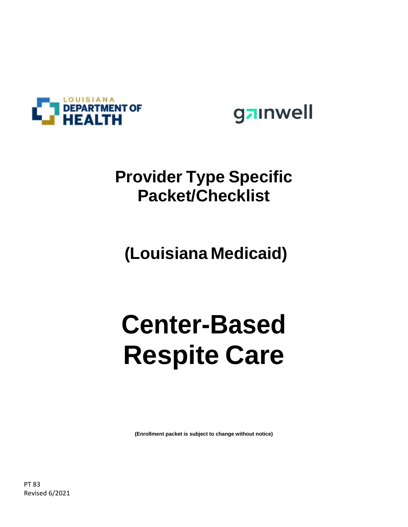



#### **Provider Type Specific Packet/Checklist**

**(Louisiana Medicaid)**

# **Center-Based Respite Care**

**(Enrollment packet is subject to change without notice)**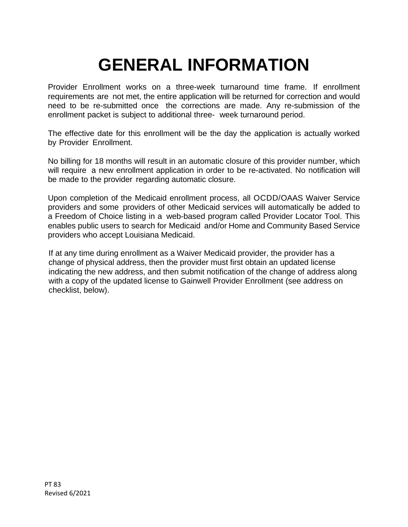# **GENERAL INFORMATION**

Provider Enrollment works on a three-week turnaround time frame. If enrollment requirements are not met, the entire application will be returned for correction and would need to be re-submitted once the corrections are made. Any re-submission of the enrollment packet is subject to additional three- week turnaround period.

The effective date for this enrollment will be the day the application is actually worked by Provider Enrollment.

No billing for 18 months will result in an automatic closure of this provider number, which will require a new enrollment application in order to be re-activated. No notification will be made to the provider regarding automatic closure.

Upon completion of the Medicaid enrollment process, all OCDD/OAAS Waiver Service providers and some providers of other Medicaid services will automatically be added to a Freedom of Choice listing in a web-based program called Provider Locator Tool. This enables public users to search for Medicaid and/or Home and Community Based Service providers who accept Louisiana Medicaid.

If at any time during enrollment as a Waiver Medicaid provider, the provider has a change of physical address, then the provider must first obtain an updated license indicating the new address, and then submit notification of the change of address along with a copy of the updated license to Gainwell Provider Enrollment (see address on checklist, below).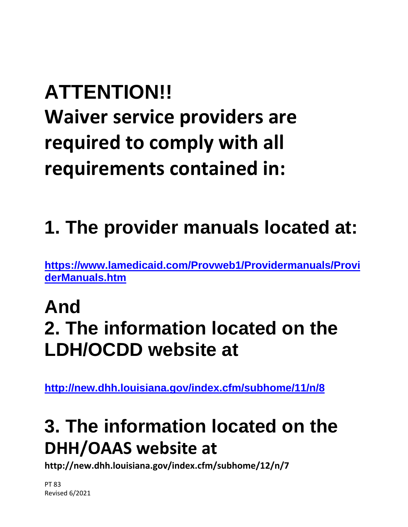# **ATTENTION!!**

**Waiver service providers are required to comply with all requirements contained in:**

# **1. The provider manuals located at:**

**[https://www.lamedicaid.com/Provweb1/Providermanuals/Provi](https://www.lamedicaid.com/Provweb1/Providermanuals/ProviderManuals.htm) [derManuals.htm](https://www.lamedicaid.com/Provweb1/Providermanuals/ProviderManuals.htm)**

## **And 2. The information located on the LDH/OCDD website at**

**<http://new.dhh.louisiana.gov/index.cfm/subhome/11/n/8>**

## **3. The information located on the DHH/OAAS website at**

**http://new.dhh.louisiana.gov/index.cfm/subhome/12/n/7**

PT 83 Revised 6/2021